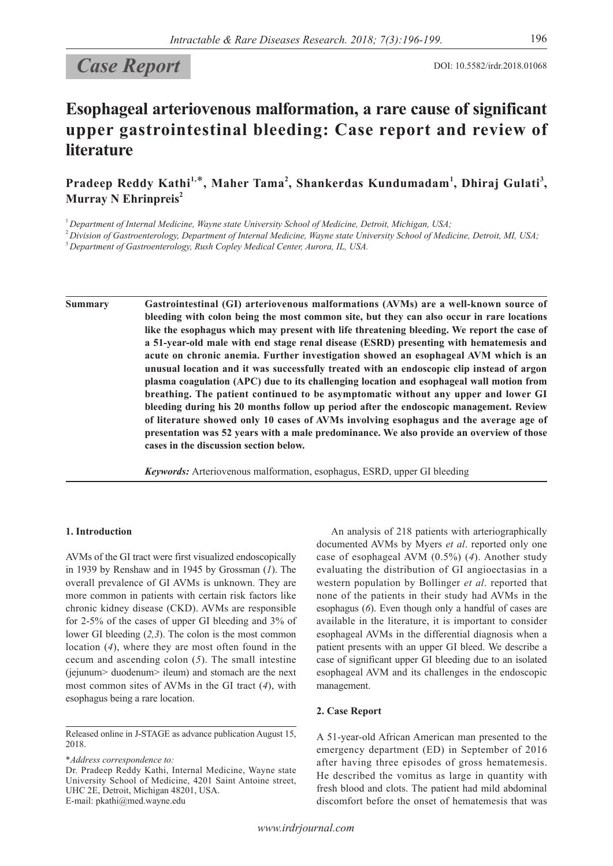# Case Report DOI: 10.5582/irdr.2018.01068

# **Esophageal arteriovenous malformation, a rare cause of significant upper gastrointestinal bleeding: Case report and review of literature**

**Pradeep Reddy Kathi1,**\***, Maher Tama<sup>2</sup> , Shankerdas Kundumadam<sup>1</sup> , Dhiraj Gulati<sup>3</sup> , Murray N Ehrinpreis<sup>2</sup>** 

<sup>1</sup>*Department of Internal Medicine, Wayne state University School of Medicine, Detroit, Michigan, USA;*

<sup>2</sup>*Division of Gastroenterology, Department of Internal Medicine, Wayne state University School of Medicine, Detroit, MI, USA;*

<sup>3</sup>*Department of Gastroenterology, Rush Copley Medical Center, Aurora, IL, USA.*

**Summary Gastrointestinal (GI) arteriovenous malformations (AVMs) are a well-known source of bleeding with colon being the most common site, but they can also occur in rare locations like the esophagus which may present with life threatening bleeding. We report the case of a 51-year-old male with end stage renal disease (ESRD) presenting with hematemesis and acute on chronic anemia. Further investigation showed an esophageal AVM which is an unusual location and it was successfully treated with an endoscopic clip instead of argon plasma coagulation (APC) due to its challenging location and esophageal wall motion from breathing. The patient continued to be asymptomatic without any upper and lower GI bleeding during his 20 months follow up period after the endoscopic management. Review of literature showed only 10 cases of AVMs involving esophagus and the average age of presentation was 52 years with a male predominance. We also provide an overview of those cases in the discussion section below.**

*Keywords:* Arteriovenous malformation, esophagus, ESRD, upper GI bleeding

## **1. Introduction**

AVMs of the GI tract were first visualized endoscopically in 1939 by Renshaw and in 1945 by Grossman (*1*). The overall prevalence of GI AVMs is unknown. They are more common in patients with certain risk factors like chronic kidney disease (CKD). AVMs are responsible for 2-5% of the cases of upper GI bleeding and 3% of lower GI bleeding (*2,3*). The colon is the most common location (*4*), where they are most often found in the cecum and ascending colon (*5*). The small intestine (jejunum> duodenum> ileum) and stomach are the next most common sites of AVMs in the GI tract (*4*), with esophagus being a rare location.

\**Address correspondence to:*

A 51-year-old African American man presented to the emergency department (ED) in September of 2016 after having three episodes of gross hematemesis. He described the vomitus as large in quantity with fresh blood and clots. The patient had mild abdominal

An analysis of 218 patients with arteriographically documented AVMs by Myers *et al*. reported only one case of esophageal AVM (0.5%) (*4*). Another study evaluating the distribution of GI angioectasias in a western population by Bollinger *et al*. reported that none of the patients in their study had AVMs in the esophagus (*6*). Even though only a handful of cases are available in the literature, it is important to consider esophageal AVMs in the differential diagnosis when a patient presents with an upper GI bleed. We describe a case of significant upper GI bleeding due to an isolated esophageal AVM and its challenges in the endoscopic management.

discomfort before the onset of hematemesis that was

### **2. Case Report**

Released online in J-STAGE as advance publication August 15, 2018.

Dr. Pradeep Reddy Kathi, Internal Medicine, Wayne state University School of Medicine, 4201 Saint Antoine street, UHC 2E, Detroit, Michigan 48201, USA. E-mail: pkathi@med.wayne.edu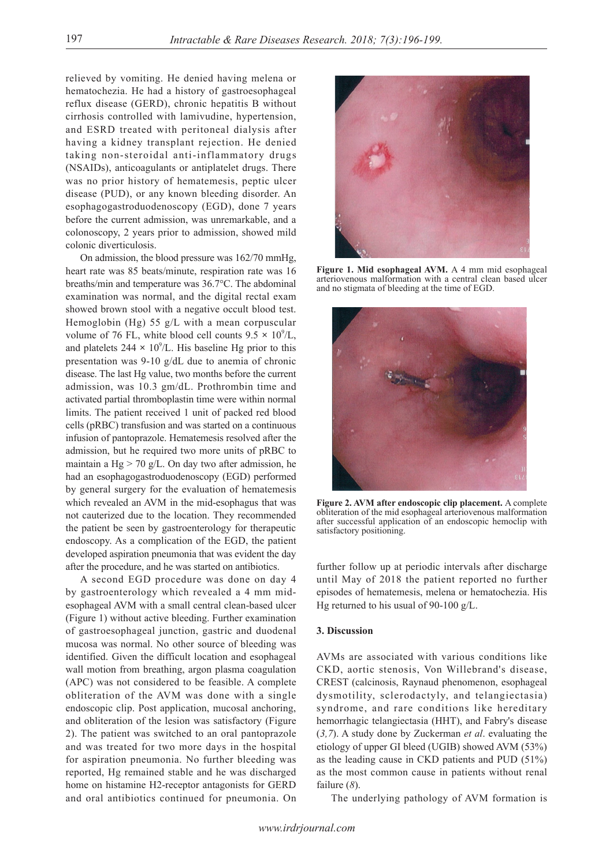relieved by vomiting. He denied having melena or hematochezia. He had a history of gastroesophageal reflux disease (GERD), chronic hepatitis B without cirrhosis controlled with lamivudine, hypertension, and ESRD treated with peritoneal dialysis after having a kidney transplant rejection. He denied taking non-steroidal anti-inflammatory drugs (NSAIDs), anticoagulants or antiplatelet drugs. There was no prior history of hematemesis, peptic ulcer disease (PUD), or any known bleeding disorder. An esophagogastroduodenoscopy (EGD), done 7 years before the current admission, was unremarkable, and a colonoscopy, 2 years prior to admission, showed mild colonic diverticulosis.

On admission, the blood pressure was 162/70 mmHg, heart rate was 85 beats/minute, respiration rate was 16 breaths/min and temperature was 36.7°C. The abdominal examination was normal, and the digital rectal exam showed brown stool with a negative occult blood test. Hemoglobin (Hg) 55 g/L with a mean corpuscular volume of 76 FL, white blood cell counts  $9.5 \times 10^9$ /L, and platelets  $244 \times 10^9$ /L. His baseline Hg prior to this presentation was 9-10 g/dL due to anemia of chronic disease. The last Hg value, two months before the current admission, was 10.3 gm/dL. Prothrombin time and activated partial thromboplastin time were within normal limits. The patient received 1 unit of packed red blood cells (pRBC) transfusion and was started on a continuous infusion of pantoprazole. Hematemesis resolved after the admission, but he required two more units of pRBC to maintain a  $Hg > 70$  g/L. On day two after admission, he had an esophagogastroduodenoscopy (EGD) performed by general surgery for the evaluation of hematemesis which revealed an AVM in the mid-esophagus that was not cauterized due to the location. They recommended the patient be seen by gastroenterology for therapeutic endoscopy. As a complication of the EGD, the patient developed aspiration pneumonia that was evident the day after the procedure, and he was started on antibiotics.

A second EGD procedure was done on day 4 by gastroenterology which revealed a 4 mm midesophageal AVM with a small central clean-based ulcer (Figure 1) without active bleeding. Further examination of gastroesophageal junction, gastric and duodenal mucosa was normal. No other source of bleeding was identified. Given the difficult location and esophageal wall motion from breathing, argon plasma coagulation (APC) was not considered to be feasible. A complete obliteration of the AVM was done with a single endoscopic clip. Post application, mucosal anchoring, and obliteration of the lesion was satisfactory (Figure 2). The patient was switched to an oral pantoprazole and was treated for two more days in the hospital for aspiration pneumonia. No further bleeding was reported, Hg remained stable and he was discharged home on histamine H2-receptor antagonists for GERD and oral antibiotics continued for pneumonia. On



**Figure 1. Mid esophageal AVM.** A 4 mm mid esophageal arteriovenous malformation with a central clean based ulcer and no stigmata of bleeding at the time of EGD.



**Figure 2. AVM after endoscopic clip placement.** A complete obliteration of the mid esophageal arteriovenous malformation after successful application of an endoscopic hemoclip with satisfactory positioning.

further follow up at periodic intervals after discharge until May of 2018 the patient reported no further episodes of hematemesis, melena or hematochezia. His Hg returned to his usual of 90-100 g/L.

### **3. Discussion**

AVMs are associated with various conditions like CKD, aortic stenosis, Von Willebrand's disease, CREST (calcinosis, Raynaud phenomenon, esophageal dysmotility, sclerodactyly, and telangiectasia) syndrome, and rare conditions like hereditary hemorrhagic telangiectasia (HHT), and Fabry's disease (*3,7*). A study done by Zuckerman *et al*. evaluating the etiology of upper GI bleed (UGIB) showed AVM (53%) as the leading cause in CKD patients and PUD (51%) as the most common cause in patients without renal failure (*8*).

The underlying pathology of AVM formation is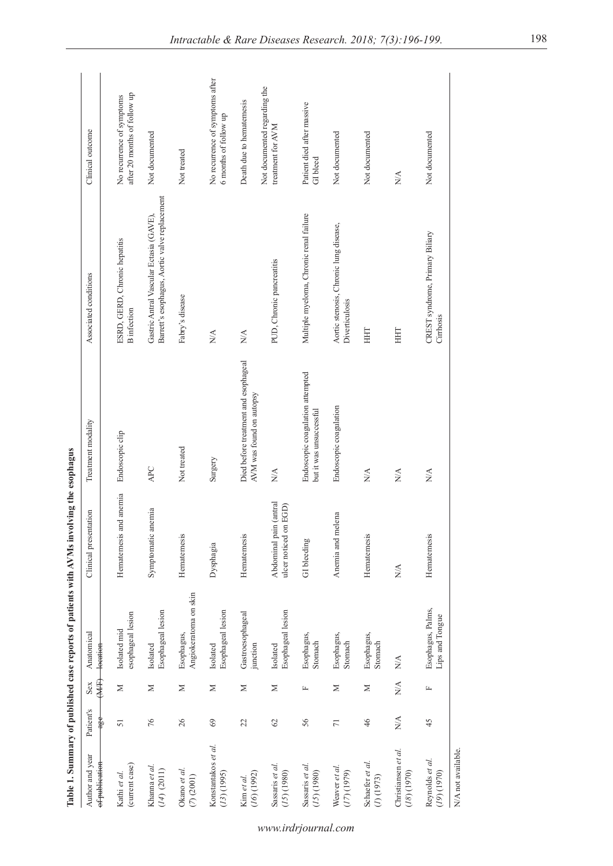|                                      |                 |                        |                                      | Table 1. Summary of published case reports of patients with AVMs involving the esophagus |                                                                  |                                                                                          |                                                           |
|--------------------------------------|-----------------|------------------------|--------------------------------------|------------------------------------------------------------------------------------------|------------------------------------------------------------------|------------------------------------------------------------------------------------------|-----------------------------------------------------------|
| Author and year<br>of publication    | Patient's<br>₩  | 年<br>Sex               | Anatomical<br>Heatien                | Clinical presentation                                                                    | Treatment modality                                               | Associated conditions                                                                    | Clinical outcome                                          |
| (current case)<br>Kathi et al.       | 51              | Σ                      | esophageal lesion<br>Isolated mid    | Hematemesis and anemia                                                                   | Endoscopic clip                                                  | ESRD, GERD, Chronic hepatitis<br><b>B</b> infection                                      | after 20 months of follow up<br>No recurrence of symptoms |
| Khanna et al.<br>$(14)$ $(2011)$     | 76              | $\geq$                 | Esophageal lesion<br>Isolated        | Symptomatic anemia                                                                       | APC                                                              | Barrett's esophagus, Aortic valve replacement<br>Gastric Antral Vascular Ectasia (GAVE), | Not documented                                            |
| Okano et al.<br>(7) (2001)           | 26              | Σ                      | Angiokeratoma on skin<br>Esophagus,  | Hematemesis                                                                              | Not treated                                                      | Fabry's disease                                                                          | Not treated                                               |
| Konstantakos et al.<br>(13)(1995)    | 69              | $\geq$                 | Esophageal lesion<br>Isolated        | Dysphagia                                                                                | Surgery                                                          | $\stackrel{\triangle}{\approx}$                                                          | No recurrence of symptoms after<br>6 months of follow up  |
| (16)(1992)<br>Kim et al.             | 22              | Σ                      | Gastroesophageal<br>junction         | Hematemesis                                                                              | Died before treatment and esophageal<br>AVM was found on autopsy | $\mathbb{N}\mathbb{A}$                                                                   | Death due to hematemesis                                  |
| Sassaris et al.<br>(15)(1980)        | 62              | Σ                      | Esophageal lesion<br>Isolated        | Abdominal pain (antral<br>ulcer noticed on EGD)                                          | $\frac{\triangleleft}{\triangle}$                                | PUD, Chronic pancreatitis                                                                | Not documented regarding the<br>treatment for AVM         |
| Sassaris et al.<br>(15)(1980)        | 56              | 匞                      | Esophagus,<br>Stomach                | GI bleeding                                                                              | Endoscopic coagulation attempted<br>but it was unsuccessful      | Multiple myeloma, Chronic renal failure                                                  | Patient died after massive<br>GI bleed                    |
| Weaver et al.<br>(17) (1979)         | $\overline{7}1$ | Σ                      | Esophagus,<br>Stomach                | Anemia and melena                                                                        | Endoscopic coagulation                                           | Aortic stenosis, Chronic lung disease,<br>Diverticulosis                                 | Not documented                                            |
| Schaefer et al.<br>$(1)$ (1973)      | 46              | Σ                      | Esophagus,<br>Stomach                | Hematemesis                                                                              | N/A                                                              | HHT                                                                                      | Not documented                                            |
| Christiansen et al.<br>$(18)$ (1970) | N/A             | $\mathbb{N}\mathbb{A}$ | N/A                                  | $\stackrel{\triangle}{\scriptstyle\sim}$                                                 | N/A                                                              | HHT                                                                                      | ΝÁ                                                        |
| Reynolds et al.<br>(19)(1970)        | 45              | 匞                      | Esophagus, Palms,<br>Lips and Tongue | Hematemesis                                                                              | N/A                                                              | CREST syndrome, Primary Biliary<br>Cirrhosis                                             | Not documented                                            |
| N/A not available.                   |                 |                        |                                      |                                                                                          |                                                                  |                                                                                          |                                                           |

of patients with AVMs involving the J. Altakad .  $\cdot$ Table 1 Su